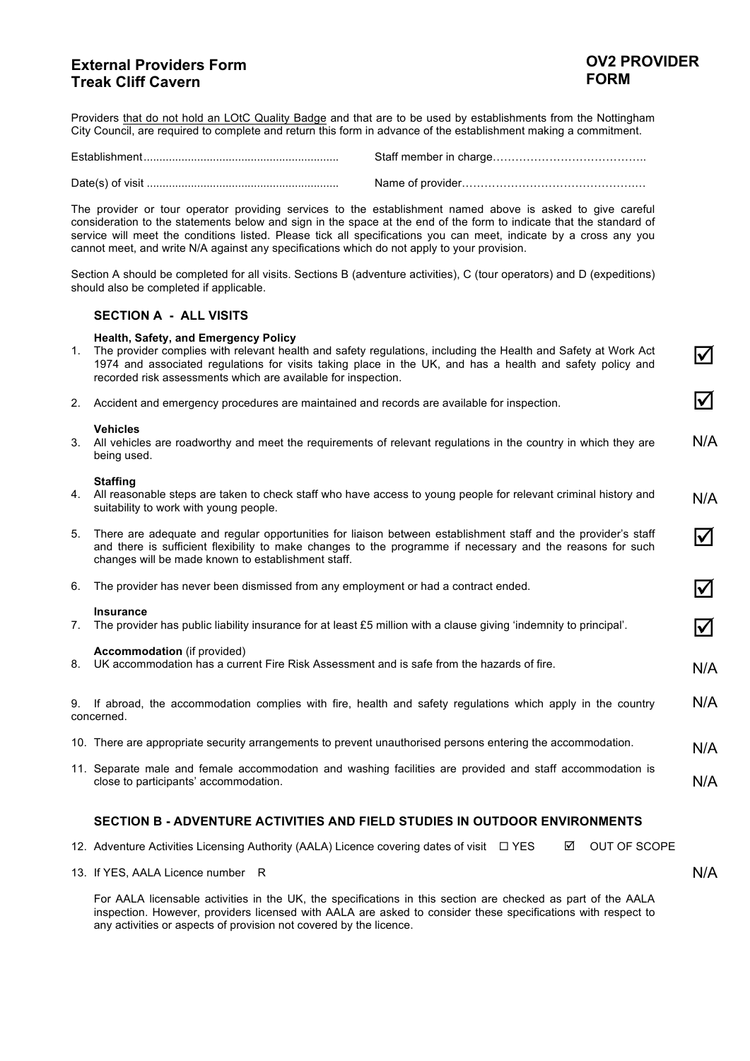# **External Providers Form Treak Cliff Cavern**

"

 $\Delta$ 

 $\Delta$ 

 $\Delta$ 

N/A

N/A

N/A

Providers that do not hold an LOtC Quality Badge and that are to be used by establishments from the Nottingham City Council, are required to complete and return this form in advance of the establishment making a commitment.

The provider or tour operator providing services to the establishment named above is asked to give careful consideration to the statements below and sign in the space at the end of the form to indicate that the standard of service will meet the conditions listed. Please tick all specifications you can meet, indicate by a cross any you cannot meet, and write N/A against any specifications which do not apply to your provision.

Section A should be completed for all visits. Sections B (adventure activities), C (tour operators) and D (expeditions) should also be completed if applicable.

### **SECTION A - ALL VISITS**

### **Health, Safety, and Emergency Policy**

| The provider complies with relevant health and safety regulations, including the Health and Safety at Work Act |  |
|----------------------------------------------------------------------------------------------------------------|--|
| 1974 and associated regulations for visits taking place in the UK, and has a health and safety policy and      |  |
| recorded risk assessments which are available for inspection.                                                  |  |

2. Accident and emergency procedures are maintained and records are available for inspection.

#### **Vehicles**

3. All vehicles are roadworthy and meet the requirements of relevant regulations in the country in which they are being used. N/A

#### **Staffing**

- 4. All reasonable steps are taken to check staff who have access to young people for relevant criminal history and suitability to work with young people. N/A
- 5. There are adequate and regular opportunities for liaison between establishment staff and the provider's staff and there is sufficient flexibility to make changes to the programme if necessary and the reasons for such changes will be made known to establishment staff.  $\boldsymbol{\mathcal{U}}$
- 6. The provider has never been dismissed from any employment or had a contract ended.

#### **Insurance**

7. The provider has public liability insurance for at least £5 million with a clause giving 'indemnity to principal'.

#### **Accommodation** (if provided)

8. UK accommodation has a current Fire Risk Assessment and is safe from the hazards of fire.

9. If abroad, the accommodation complies with fire, health and safety regulations which apply in the country concerned. N/A

- 10. There are appropriate security arrangements to prevent unauthorised persons entering the accommodation.
- 11. Separate male and female accommodation and washing facilities are provided and staff accommodation is close to participants' accommodation. N/A

### **SECTION B - ADVENTURE ACTIVITIES AND FIELD STUDIES IN OUTDOOR ENVIRONMENTS**

12. Adventure Activities Licensing Authority (AALA) Licence covering dates of visit  $\Box$  YES **M** OUT OF SCOPE

13. If YES, AALA Licence number R

For AALA licensable activities in the UK, the specifications in this section are checked as part of the AALA inspection. However, providers licensed with AALA are asked to consider these specifications with respect to any activities or aspects of provision not covered by the licence.